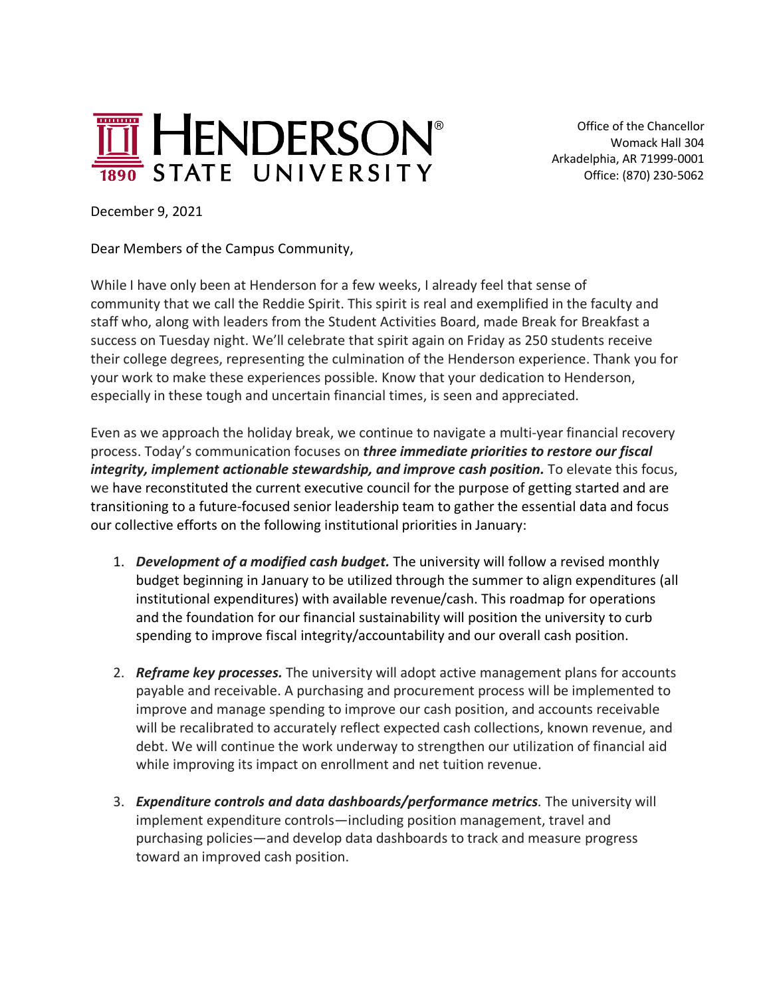

 Office of the Chancellor Womack Hall 304 Arkadelphia, AR 71999-0001 Office: (870) 230-5062

December 9, 2021

Dear Members of the Campus Community,

While I have only been at Henderson for a few weeks, I already feel that sense of community that we call the Reddie Spirit. This spirit is real and exemplified in the faculty and staff who, along with leaders from the Student Activities Board, made Break for Breakfast a success on Tuesday night. We'll celebrate that spirit again on Friday as 250 students receive their college degrees, representing the culmination of the Henderson experience. Thank you for your work to make these experiences possible. Know that your dedication to Henderson, especially in these tough and uncertain financial times, is seen and appreciated.

Even as we approach the holiday break, we continue to navigate a multi-year financial recovery process. Today's communication focuses on *three immediate priorities to restore our fiscal integrity, implement actionable stewardship, and improve cash position.* To elevate this focus, we have reconstituted the current executive council for the purpose of getting started and are transitioning to a future-focused senior leadership team to gather the essential data and focus our collective efforts on the following institutional priorities in January:

- 1. *Development of a modified cash budget.* The university will follow a revised monthly budget beginning in January to be utilized through the summer to align expenditures (all institutional expenditures) with available revenue/cash. This roadmap for operations and the foundation for our financial sustainability will position the university to curb spending to improve fiscal integrity/accountability and our overall cash position.
- 2. *Reframe key processes.* The university will adopt active management plans for accounts payable and receivable. A purchasing and procurement process will be implemented to improve and manage spending to improve our cash position, and accounts receivable will be recalibrated to accurately reflect expected cash collections, known revenue, and debt. We will continue the work underway to strengthen our utilization of financial aid while improving its impact on enrollment and net tuition revenue.
- 3. *Expenditure controls and data dashboards/performance metrics.* The university will implement expenditure controls—including position management, travel and purchasing policies—and develop data dashboards to track and measure progress toward an improved cash position.